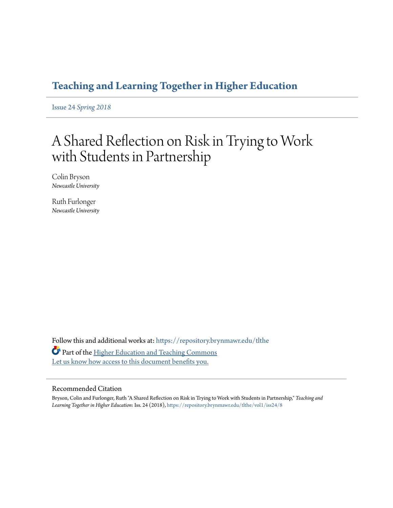# **[Teaching and Learning Together in Higher Education](https://repository.brynmawr.edu/tlthe?utm_source=repository.brynmawr.edu%2Ftlthe%2Fvol1%2Fiss24%2F8&utm_medium=PDF&utm_campaign=PDFCoverPages)**

Issue 24 *[Spring 2018](https://repository.brynmawr.edu/tlthe/vol1/iss24?utm_source=repository.brynmawr.edu%2Ftlthe%2Fvol1%2Fiss24%2F8&utm_medium=PDF&utm_campaign=PDFCoverPages)*

# A Shared Reflection on Risk in Trying to Work with Students in Partnership

Colin Bryson *Newcastle University*

Ruth Furlonger *Newcastle University*

Follow this and additional works at: [https://repository.brynmawr.edu/tlthe](https://repository.brynmawr.edu/tlthe?utm_source=repository.brynmawr.edu%2Ftlthe%2Fvol1%2Fiss24%2F8&utm_medium=PDF&utm_campaign=PDFCoverPages) Part of the [Higher Education and Teaching Commons](http://network.bepress.com/hgg/discipline/806?utm_source=repository.brynmawr.edu%2Ftlthe%2Fvol1%2Fiss24%2F8&utm_medium=PDF&utm_campaign=PDFCoverPages) [Let us know how access to this document benefits you.](http://repository.brynmawr.edu/open-access-feedback.html)

#### Recommended Citation

Bryson, Colin and Furlonger, Ruth "A Shared Reflection on Risk in Trying to Work with Students in Partnership," *Teaching and Learning Together in Higher Education*: Iss. 24 (2018), [https://repository.brynmawr.edu/tlthe/vol1/iss24/8](https://repository.brynmawr.edu/tlthe/vol1/iss24/8?utm_source=repository.brynmawr.edu%2Ftlthe%2Fvol1%2Fiss24%2F8&utm_medium=PDF&utm_campaign=PDFCoverPages)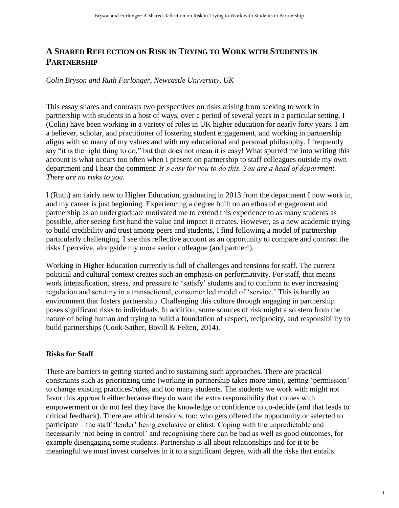# **A SHARED REFLECTION ON RISK IN TRYING TO WORK WITH STUDENTS IN PARTNERSHIP**

#### *Colin Bryson and Ruth Furlonger, Newcastle University, UK*

This essay shares and contrasts two perspectives on risks arising from seeking to work in partnership with students in a host of ways, over a period of several years in a particular setting. I (Colin) have been working in a variety of roles in UK higher education for nearly forty years. I am a believer, scholar, and practitioner of fostering student engagement, and working in partnership aligns with so many of my values and with my educational and personal philosophy. I frequently say "it is the right thing to do," but that does not mean it is easy! What spurred me into writing this account is what occurs too often when I present on partnership to staff colleagues outside my own department and I hear the comment: *It's easy for you to do this. You are a head of department. There are no risks to you.*

I (Ruth) am fairly new to Higher Education, graduating in 2013 from the department I now work in, and my career is just beginning. Experiencing a degree built on an ethos of engagement and partnership as an undergraduate motivated me to extend this experience to as many students as possible, after seeing first hand the value and impact it creates. However, as a new academic trying to build credibility and trust among peers and students, I find following a model of partnership particularly challenging. I see this reflective account as an opportunity to compare and contrast the risks I perceive, alongside my more senior colleague (and partner!).

Working in Higher Education currently is full of challenges and tensions for staff. The current political and cultural context creates such an emphasis on performativity. For staff, that means work intensification, stress, and pressure to 'satisfy' students and to conform to ever increasing regulation and scrutiny in a transactional, consumer led model of 'service.' This is hardly an environment that fosters partnership. Challenging this culture through engaging in partnership poses significant risks to individuals. In addition, some sources of risk might also stem from the nature of being human and trying to build a foundation of respect, reciprocity, and responsibility to build partnerships (Cook-Sather, Bovill & Felten, 2014).

#### **Risks for Staff**

There are barriers to getting started and to sustaining such approaches. There are practical constraints such as prioritizing time (working in partnership takes more time), getting 'permission' to change existing practices/rules, and too many students. The students we work with might not favor this approach either because they do want the extra responsibility that comes with empowerment or do not feel they have the knowledge or confidence to co-decide (and that leads to critical feedback). There are ethical tensions, too: who gets offered the opportunity or selected to participate – the staff 'leader' being exclusive or elitist. Coping with the unpredictable and necessarily 'not being in control' and recognising there can be bad as well as good outcomes, for example disengaging some students. Partnership is all about relationships and for it to be meaningful we must invest ourselves in it to a significant degree, with all the risks that entails.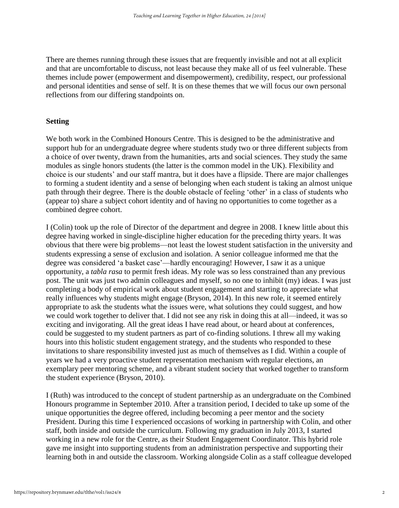There are themes running through these issues that are frequently invisible and not at all explicit and that are uncomfortable to discuss, not least because they make all of us feel vulnerable. These themes include power (empowerment and disempowerment), credibility, respect, our professional and personal identities and sense of self. It is on these themes that we will focus our own personal reflections from our differing standpoints on.

#### **Setting**

We both work in the Combined Honours Centre. This is designed to be the administrative and support hub for an undergraduate degree where students study two or three different subjects from a choice of over twenty, drawn from the humanities, arts and social sciences. They study the same modules as single honors students (the latter is the common model in the UK). Flexibility and choice is our students' and our staff mantra, but it does have a flipside. There are major challenges to forming a student identity and a sense of belonging when each student is taking an almost unique path through their degree. There is the double obstacle of feeling 'other' in a class of students who (appear to) share a subject cohort identity and of having no opportunities to come together as a combined degree cohort.

I (Colin) took up the role of Director of the department and degree in 2008. I knew little about this degree having worked in single-discipline higher education for the preceding thirty years. It was obvious that there were big problems—not least the lowest student satisfaction in the university and students expressing a sense of exclusion and isolation. A senior colleague informed me that the degree was considered 'a basket case'—hardly encouraging! However, I saw it as a unique opportunity, a *tabla rasa* to permit fresh ideas. My role was so less constrained than any previous post. The unit was just two admin colleagues and myself, so no one to inhibit (my) ideas. I was just completing a body of empirical work about student engagement and starting to appreciate what really influences why students might engage (Bryson, 2014). In this new role, it seemed entirely appropriate to ask the students what the issues were, what solutions they could suggest, and how we could work together to deliver that. I did not see any risk in doing this at all—indeed, it was so exciting and invigorating. All the great ideas I have read about, or heard about at conferences, could be suggested to my student partners as part of co-finding solutions. I threw all my waking hours into this holistic student engagement strategy, and the students who responded to these invitations to share responsibility invested just as much of themselves as I did. Within a couple of years we had a very proactive student representation mechanism with regular elections, an exemplary peer mentoring scheme, and a vibrant student society that worked together to transform the student experience (Bryson, 2010).

I (Ruth) was introduced to the concept of student partnership as an undergraduate on the Combined Honours programme in September 2010. After a transition period, I decided to take up some of the unique opportunities the degree offered, including becoming a peer mentor and the society President. During this time I experienced occasions of working in partnership with Colin, and other staff, both inside and outside the curriculum. Following my graduation in July 2013, I started working in a new role for the Centre, as their Student Engagement Coordinator. This hybrid role gave me insight into supporting students from an administration perspective and supporting their learning both in and outside the classroom. Working alongside Colin as a staff colleague developed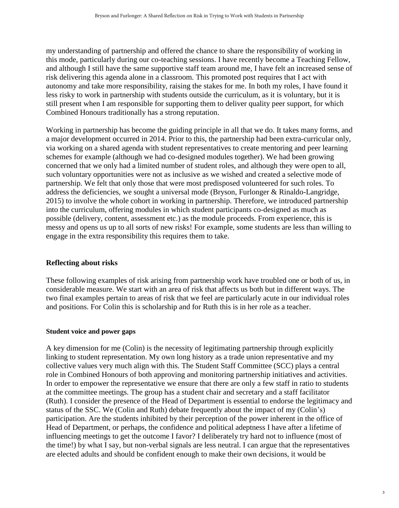my understanding of partnership and offered the chance to share the responsibility of working in this mode, particularly during our co-teaching sessions. I have recently become a Teaching Fellow, and although I still have the same supportive staff team around me, I have felt an increased sense of risk delivering this agenda alone in a classroom. This promoted post requires that I act with autonomy and take more responsibility, raising the stakes for me. In both my roles, I have found it less risky to work in partnership with students outside the curriculum, as it is voluntary, but it is still present when I am responsible for supporting them to deliver quality peer support, for which Combined Honours traditionally has a strong reputation.

Working in partnership has become the guiding principle in all that we do. It takes many forms, and a major development occurred in 2014. Prior to this, the partnership had been extra-curricular only, via working on a shared agenda with student representatives to create mentoring and peer learning schemes for example (although we had co-designed modules together). We had been growing concerned that we only had a limited number of student roles, and although they were open to all, such voluntary opportunities were not as inclusive as we wished and created a selective mode of partnership. We felt that only those that were most predisposed volunteered for such roles. To address the deficiencies, we sought a universal mode (Bryson, Furlonger & Rinaldo-Langridge, 2015) to involve the whole cohort in working in partnership. Therefore, we introduced partnership into the curriculum, offering modules in which student participants co-designed as much as possible (delivery, content, assessment etc.) as the module proceeds. From experience, this is messy and opens us up to all sorts of new risks! For example, some students are less than willing to engage in the extra responsibility this requires them to take.

# **Reflecting about risks**

These following examples of risk arising from partnership work have troubled one or both of us, in considerable measure. We start with an area of risk that affects us both but in different ways. The two final examples pertain to areas of risk that we feel are particularly acute in our individual roles and positions. For Colin this is scholarship and for Ruth this is in her role as a teacher.

# **Student voice and power gaps**

A key dimension for me (Colin) is the necessity of legitimating partnership through explicitly linking to student representation. My own long history as a trade union representative and my collective values very much align with this. The Student Staff Committee (SCC) plays a central role in Combined Honours of both approving and monitoring partnership initiatives and activities. In order to empower the representative we ensure that there are only a few staff in ratio to students at the committee meetings. The group has a student chair and secretary and a staff facilitator (Ruth). I consider the presence of the Head of Department is essential to endorse the legitimacy and status of the SSC. We (Colin and Ruth) debate frequently about the impact of my (Colin's) participation. Are the students inhibited by their perception of the power inherent in the office of Head of Department, or perhaps, the confidence and political adeptness I have after a lifetime of influencing meetings to get the outcome I favor? I deliberately try hard not to influence (most of the time!) by what I say, but non-verbal signals are less neutral. I can argue that the representatives are elected adults and should be confident enough to make their own decisions, it would be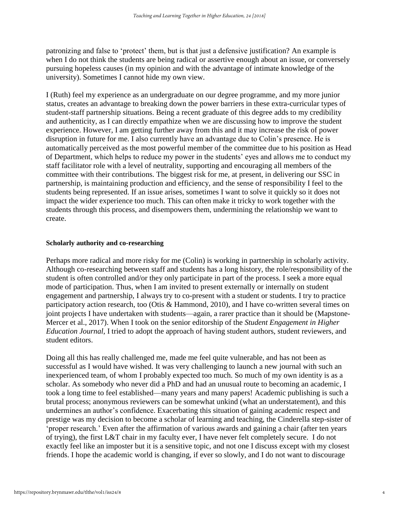patronizing and false to 'protect' them, but is that just a defensive justification? An example is when I do not think the students are being radical or assertive enough about an issue, or conversely pursuing hopeless causes (in my opinion and with the advantage of intimate knowledge of the university). Sometimes I cannot hide my own view.

I (Ruth) feel my experience as an undergraduate on our degree programme, and my more junior status, creates an advantage to breaking down the power barriers in these extra-curricular types of student-staff partnership situations. Being a recent graduate of this degree adds to my credibility and authenticity, as I can directly empathize when we are discussing how to improve the student experience. However, I am getting further away from this and it may increase the risk of power disruption in future for me. I also currently have an advantage due to Colin's presence. He is automatically perceived as the most powerful member of the committee due to his position as Head of Department, which helps to reduce my power in the students' eyes and allows me to conduct my staff facilitator role with a level of neutrality, supporting and encouraging all members of the committee with their contributions. The biggest risk for me, at present, in delivering our SSC in partnership, is maintaining production and efficiency, and the sense of responsibility I feel to the students being represented. If an issue arises, sometimes I want to solve it quickly so it does not impact the wider experience too much. This can often make it tricky to work together with the students through this process, and disempowers them, undermining the relationship we want to create.

#### **Scholarly authority and co-researching**

Perhaps more radical and more risky for me (Colin) is working in partnership in scholarly activity. Although co-researching between staff and students has a long history, the role/responsibility of the student is often controlled and/or they only participate in part of the process. I seek a more equal mode of participation. Thus, when I am invited to present externally or internally on student engagement and partnership, I always try to co-present with a student or students. I try to practice participatory action research, too (Otis & Hammond, 2010), and I have co-written several times on joint projects I have undertaken with students—again, a rarer practice than it should be (Mapstone-Mercer et al., 2017). When I took on the senior editorship of the *Student Engagement in Higher Education Journal*, I tried to adopt the approach of having student authors, student reviewers, and student editors.

Doing all this has really challenged me, made me feel quite vulnerable, and has not been as successful as I would have wished. It was very challenging to launch a new journal with such an inexperienced team, of whom I probably expected too much. So much of my own identity is as a scholar. As somebody who never did a PhD and had an unusual route to becoming an academic, I took a long time to feel established—many years and many papers! Academic publishing is such a brutal process; anonymous reviewers can be somewhat unkind (what an understatement), and this undermines an author's confidence. Exacerbating this situation of gaining academic respect and prestige was my decision to become a scholar of learning and teaching, the Cinderella step-sister of 'proper research.' Even after the affirmation of various awards and gaining a chair (after ten years of trying), the first L&T chair in my faculty ever, I have never felt completely secure. I do not exactly feel like an imposter but it is a sensitive topic, and not one I discuss except with my closest friends. I hope the academic world is changing, if ever so slowly, and I do not want to discourage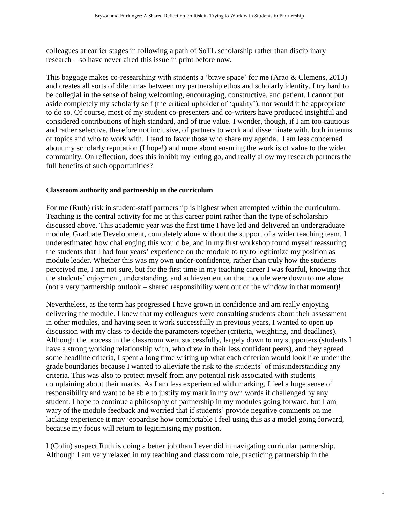colleagues at earlier stages in following a path of SoTL scholarship rather than disciplinary research – so have never aired this issue in print before now.

This baggage makes co-researching with students a 'brave space' for me (Arao & Clemens, 2013) and creates all sorts of dilemmas between my partnership ethos and scholarly identity. I try hard to be collegial in the sense of being welcoming, encouraging, constructive, and patient. I cannot put aside completely my scholarly self (the critical upholder of 'quality'), nor would it be appropriate to do so. Of course, most of my student co-presenters and co-writers have produced insightful and considered contributions of high standard, and of true value. I wonder, though, if I am too cautious and rather selective, therefore not inclusive, of partners to work and disseminate with, both in terms of topics and who to work with. I tend to favor those who share my agenda. I am less concerned about my scholarly reputation (I hope!) and more about ensuring the work is of value to the wider community. On reflection, does this inhibit my letting go, and really allow my research partners the full benefits of such opportunities?

### **Classroom authority and partnership in the curriculum**

For me (Ruth) risk in student-staff partnership is highest when attempted within the curriculum. Teaching is the central activity for me at this career point rather than the type of scholarship discussed above. This academic year was the first time I have led and delivered an undergraduate module, Graduate Development, completely alone without the support of a wider teaching team. I underestimated how challenging this would be, and in my first workshop found myself reassuring the students that I had four years' experience on the module to try to legitimize my position as module leader. Whether this was my own under-confidence, rather than truly how the students perceived me, I am not sure, but for the first time in my teaching career I was fearful, knowing that the students' enjoyment, understanding, and achievement on that module were down to me alone (not a very partnership outlook – shared responsibility went out of the window in that moment)!

Nevertheless, as the term has progressed I have grown in confidence and am really enjoying delivering the module. I knew that my colleagues were consulting students about their assessment in other modules, and having seen it work successfully in previous years, I wanted to open up discussion with my class to decide the parameters together (criteria, weighting, and deadlines). Although the process in the classroom went successfully, largely down to my supporters (students I have a strong working relationship with, who drew in their less confident peers), and they agreed some headline criteria, I spent a long time writing up what each criterion would look like under the grade boundaries because I wanted to alleviate the risk to the students' of misunderstanding any criteria. This was also to protect myself from any potential risk associated with students complaining about their marks. As I am less experienced with marking, I feel a huge sense of responsibility and want to be able to justify my mark in my own words if challenged by any student. I hope to continue a philosophy of partnership in my modules going forward, but I am wary of the module feedback and worried that if students' provide negative comments on me lacking experience it may jeopardise how comfortable I feel using this as a model going forward, because my focus will return to legitimising my position.

I (Colin) suspect Ruth is doing a better job than I ever did in navigating curricular partnership. Although I am very relaxed in my teaching and classroom role, practicing partnership in the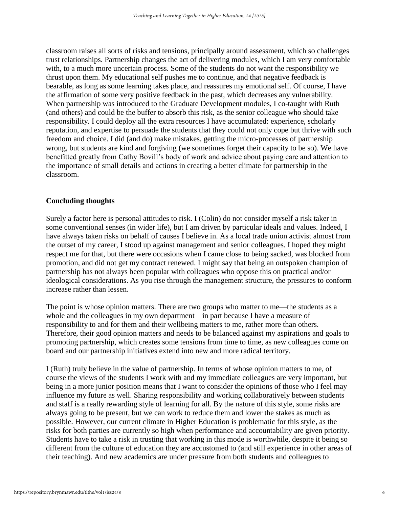classroom raises all sorts of risks and tensions, principally around assessment, which so challenges trust relationships. Partnership changes the act of delivering modules, which I am very comfortable with, to a much more uncertain process. Some of the students do not want the responsibility we thrust upon them. My educational self pushes me to continue, and that negative feedback is bearable, as long as some learning takes place, and reassures my emotional self. Of course, I have the affirmation of some very positive feedback in the past, which decreases any vulnerability. When partnership was introduced to the Graduate Development modules, I co-taught with Ruth (and others) and could be the buffer to absorb this risk, as the senior colleague who should take responsibility. I could deploy all the extra resources I have accumulated: experience, scholarly reputation, and expertise to persuade the students that they could not only cope but thrive with such freedom and choice. I did (and do) make mistakes, getting the micro-processes of partnership wrong, but students are kind and forgiving (we sometimes forget their capacity to be so). We have benefitted greatly from Cathy Bovill's body of work and advice about paying care and attention to the importance of small details and actions in creating a better climate for partnership in the classroom.

#### **Concluding thoughts**

Surely a factor here is personal attitudes to risk. I (Colin) do not consider myself a risk taker in some conventional senses (in wider life), but I am driven by particular ideals and values. Indeed, I have always taken risks on behalf of causes I believe in. As a local trade union activist almost from the outset of my career, I stood up against management and senior colleagues. I hoped they might respect me for that, but there were occasions when I came close to being sacked, was blocked from promotion, and did not get my contract renewed. I might say that being an outspoken champion of partnership has not always been popular with colleagues who oppose this on practical and/or ideological considerations. As you rise through the management structure, the pressures to conform increase rather than lessen.

The point is whose opinion matters. There are two groups who matter to me—the students as a whole and the colleagues in my own department—in part because I have a measure of responsibility to and for them and their wellbeing matters to me, rather more than others. Therefore, their good opinion matters and needs to be balanced against my aspirations and goals to promoting partnership, which creates some tensions from time to time, as new colleagues come on board and our partnership initiatives extend into new and more radical territory.

I (Ruth) truly believe in the value of partnership. In terms of whose opinion matters to me, of course the views of the students I work with and my immediate colleagues are very important, but being in a more junior position means that I want to consider the opinions of those who I feel may influence my future as well. Sharing responsibility and working collaboratively between students and staff is a really rewarding style of learning for all. By the nature of this style, some risks are always going to be present, but we can work to reduce them and lower the stakes as much as possible. However, our current climate in Higher Education is problematic for this style, as the risks for both parties are currently so high when performance and accountability are given priority. Students have to take a risk in trusting that working in this mode is worthwhile, despite it being so different from the culture of education they are accustomed to (and still experience in other areas of their teaching). And new academics are under pressure from both students and colleagues to